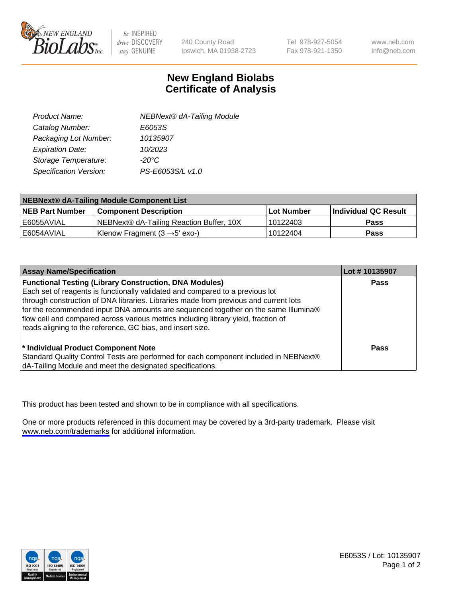

be INSPIRED drive DISCOVERY stay GENUINE

240 County Road Ipswich, MA 01938-2723 Tel 978-927-5054 Fax 978-921-1350

www.neb.com info@neb.com

## **New England Biolabs Certificate of Analysis**

| Product Name:           | <b>NEBNext® dA-Tailing Module</b> |
|-------------------------|-----------------------------------|
| Catalog Number:         | E6053S                            |
| Packaging Lot Number:   | 10135907                          |
| <b>Expiration Date:</b> | 10/2023                           |
| Storage Temperature:    | $-20^{\circ}$ C                   |
| Specification Version:  | PS-E6053S/L v1.0                  |

| NEBNext® dA-Tailing Module Component List |                                           |            |                      |  |
|-------------------------------------------|-------------------------------------------|------------|----------------------|--|
| <b>NEB Part Number</b>                    | <b>Component Description</b>              | Lot Number | Individual QC Result |  |
| l E6055AVIAL                              | NEBNext® dA-Tailing Reaction Buffer, 10X  | 10122403   | <b>Pass</b>          |  |
| I E6054AVIAL                              | Klenow Fragment $(3 \rightarrow 5'$ exo-) | 10122404   | <b>Pass</b>          |  |

| <b>Assay Name/Specification</b>                                                                                                                                                                                                                                                                                                                                                                                                                                                  | Lot #10135907 |
|----------------------------------------------------------------------------------------------------------------------------------------------------------------------------------------------------------------------------------------------------------------------------------------------------------------------------------------------------------------------------------------------------------------------------------------------------------------------------------|---------------|
| <b>Functional Testing (Library Construction, DNA Modules)</b><br>Each set of reagents is functionally validated and compared to a previous lot<br>through construction of DNA libraries. Libraries made from previous and current lots<br>for the recommended input DNA amounts are sequenced together on the same Illumina®<br>flow cell and compared across various metrics including library yield, fraction of<br>reads aligning to the reference, GC bias, and insert size. | <b>Pass</b>   |
| <sup>*</sup> Individual Product Component Note<br>Standard Quality Control Tests are performed for each component included in NEBNext®<br>dA-Tailing Module and meet the designated specifications.                                                                                                                                                                                                                                                                              | Pass          |

This product has been tested and shown to be in compliance with all specifications.

One or more products referenced in this document may be covered by a 3rd-party trademark. Please visit <www.neb.com/trademarks>for additional information.